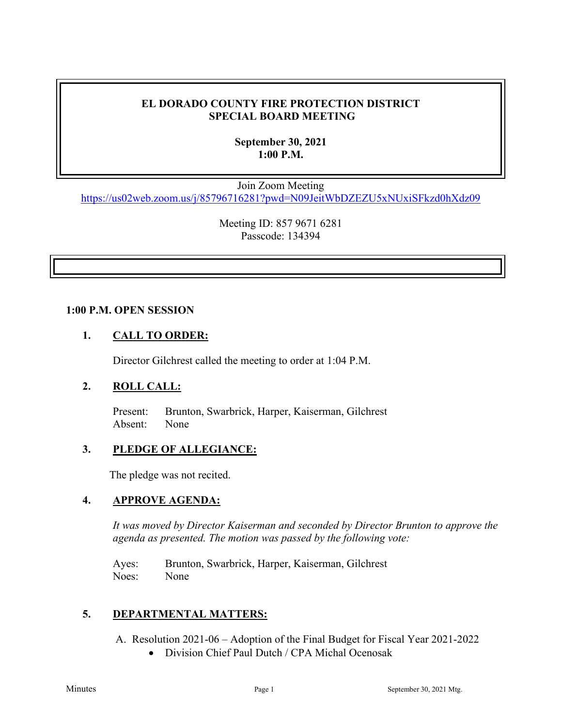# **EL DORADO COUNTY FIRE PROTECTION DISTRICT SPECIAL BOARD MEETING**

# **September 30, 2021 1:00 P.M.**

Join Zoom Meeting

<https://us02web.zoom.us/j/85796716281?pwd=N09JeitWbDZEZU5xNUxiSFkzd0hXdz09>

Meeting ID: 857 9671 6281 Passcode: 134394

#### **1:00 P.M. OPEN SESSION**

## **1. CALL TO ORDER:**

Director Gilchrest called the meeting to order at 1:04 P.M.

### **2. ROLL CALL:**

 Present: Brunton, Swarbrick, Harper, Kaiserman, Gilchrest Absent: None

### **3. PLEDGE OF ALLEGIANCE:**

The pledge was not recited.

### **4. APPROVE AGENDA:**

*It was moved by Director Kaiserman and seconded by Director Brunton to approve the agenda as presented. The motion was passed by the following vote:*

Ayes: Brunton, Swarbrick, Harper, Kaiserman, Gilchrest Noes: None

### **5. DEPARTMENTAL MATTERS:**

- A. Resolution 2021-06 Adoption of the Final Budget for Fiscal Year 2021-2022
	- Division Chief Paul Dutch / CPA Michal Ocenosak